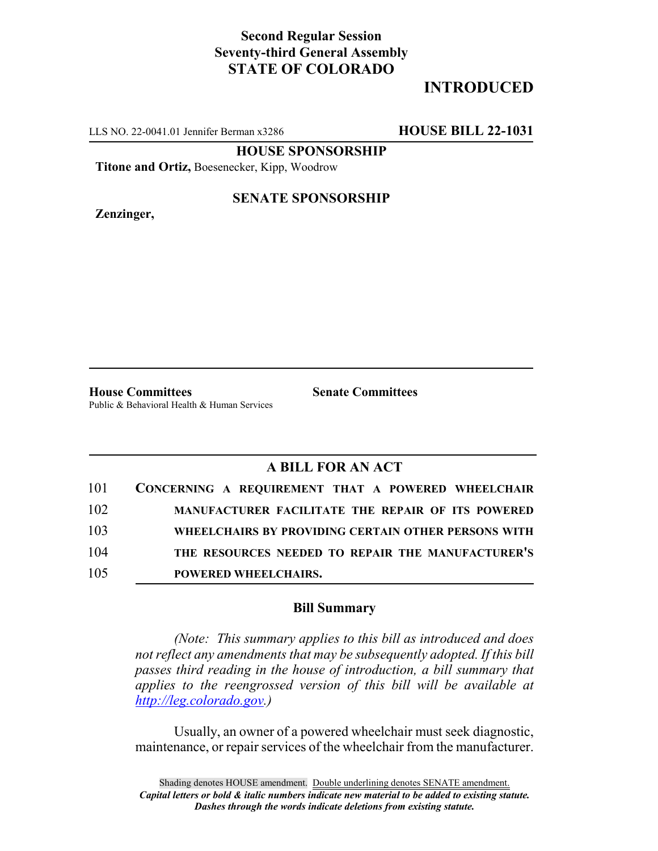## **Second Regular Session Seventy-third General Assembly STATE OF COLORADO**

# **INTRODUCED**

LLS NO. 22-0041.01 Jennifer Berman x3286 **HOUSE BILL 22-1031**

**HOUSE SPONSORSHIP**

**Titone and Ortiz,** Boesenecker, Kipp, Woodrow

**Zenzinger,**

#### **SENATE SPONSORSHIP**

**House Committees Senate Committees** Public & Behavioral Health & Human Services

### **A BILL FOR AN ACT**

| 101 | CONCERNING A REQUIREMENT THAT A POWERED WHEELCHAIR  |
|-----|-----------------------------------------------------|
| 102 | MANUFACTURER FACILITATE THE REPAIR OF ITS POWERED   |
| 103 | WHEELCHAIRS BY PROVIDING CERTAIN OTHER PERSONS WITH |
| 104 | THE RESOURCES NEEDED TO REPAIR THE MANUFACTURER'S   |
| 105 | <b>POWERED WHEELCHAIRS.</b>                         |

#### **Bill Summary**

*(Note: This summary applies to this bill as introduced and does not reflect any amendments that may be subsequently adopted. If this bill passes third reading in the house of introduction, a bill summary that applies to the reengrossed version of this bill will be available at http://leg.colorado.gov.)*

Usually, an owner of a powered wheelchair must seek diagnostic, maintenance, or repair services of the wheelchair from the manufacturer.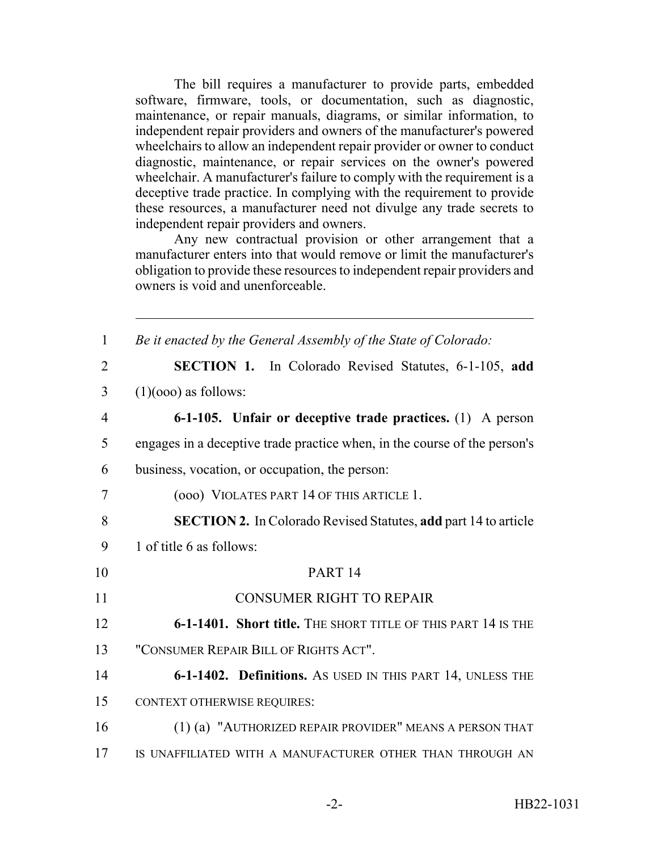The bill requires a manufacturer to provide parts, embedded software, firmware, tools, or documentation, such as diagnostic, maintenance, or repair manuals, diagrams, or similar information, to independent repair providers and owners of the manufacturer's powered wheelchairs to allow an independent repair provider or owner to conduct diagnostic, maintenance, or repair services on the owner's powered wheelchair. A manufacturer's failure to comply with the requirement is a deceptive trade practice. In complying with the requirement to provide these resources, a manufacturer need not divulge any trade secrets to independent repair providers and owners.

Any new contractual provision or other arrangement that a manufacturer enters into that would remove or limit the manufacturer's obligation to provide these resources to independent repair providers and owners is void and unenforceable.

| $\mathbf{1}$   | Be it enacted by the General Assembly of the State of Colorado:           |
|----------------|---------------------------------------------------------------------------|
| $\overline{2}$ | <b>SECTION 1.</b> In Colorado Revised Statutes, 6-1-105, add              |
| 3              | $(1)(000)$ as follows:                                                    |
| $\overline{4}$ | 6-1-105. Unfair or deceptive trade practices. $(1)$ A person              |
| 5              | engages in a deceptive trade practice when, in the course of the person's |
| 6              | business, vocation, or occupation, the person:                            |
| 7              | (000) VIOLATES PART 14 OF THIS ARTICLE 1.                                 |
| 8              | <b>SECTION 2.</b> In Colorado Revised Statutes, add part 14 to article    |
| 9              | 1 of title 6 as follows:                                                  |
| 10             | PART <sub>14</sub>                                                        |
| 11             | <b>CONSUMER RIGHT TO REPAIR</b>                                           |
| 12             | 6-1-1401. Short title. THE SHORT TITLE OF THIS PART 14 IS THE             |
| 13             | "CONSUMER REPAIR BILL OF RIGHTS ACT".                                     |
| 14             | 6-1-1402. Definitions. As USED IN THIS PART 14, UNLESS THE                |
| 15             | <b>CONTEXT OTHERWISE REQUIRES:</b>                                        |
| 16             | (1) (a) "AUTHORIZED REPAIR PROVIDER" MEANS A PERSON THAT                  |
| 17             | IS UNAFFILIATED WITH A MANUFACTURER OTHER THAN THROUGH AN                 |
|                |                                                                           |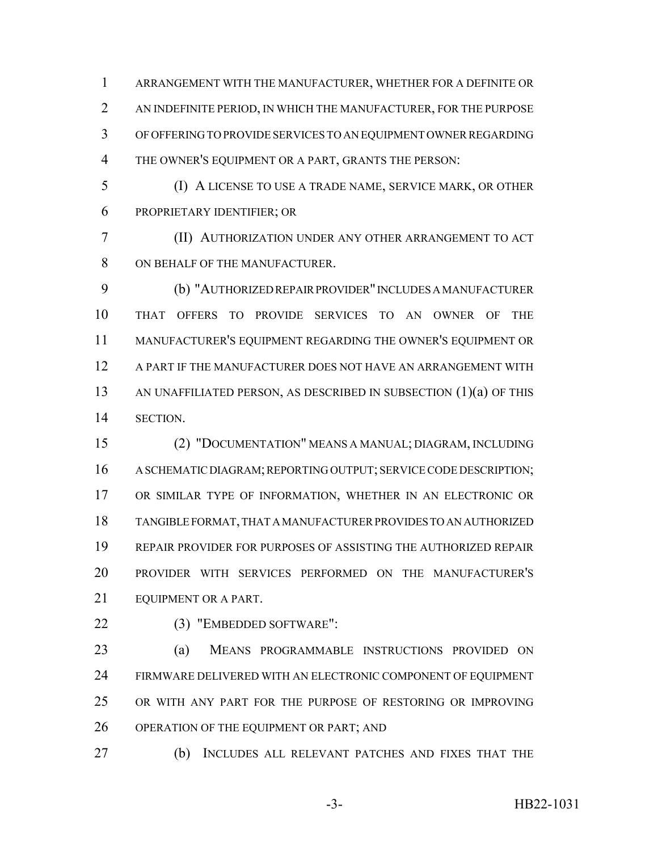ARRANGEMENT WITH THE MANUFACTURER, WHETHER FOR A DEFINITE OR AN INDEFINITE PERIOD, IN WHICH THE MANUFACTURER, FOR THE PURPOSE OF OFFERING TO PROVIDE SERVICES TO AN EQUIPMENT OWNER REGARDING THE OWNER'S EQUIPMENT OR A PART, GRANTS THE PERSON:

 (I) A LICENSE TO USE A TRADE NAME, SERVICE MARK, OR OTHER PROPRIETARY IDENTIFIER; OR

 (II) AUTHORIZATION UNDER ANY OTHER ARRANGEMENT TO ACT ON BEHALF OF THE MANUFACTURER.

 (b) "AUTHORIZED REPAIR PROVIDER" INCLUDES A MANUFACTURER THAT OFFERS TO PROVIDE SERVICES TO AN OWNER OF THE MANUFACTURER'S EQUIPMENT REGARDING THE OWNER'S EQUIPMENT OR A PART IF THE MANUFACTURER DOES NOT HAVE AN ARRANGEMENT WITH AN UNAFFILIATED PERSON, AS DESCRIBED IN SUBSECTION (1)(a) OF THIS SECTION.

 (2) "DOCUMENTATION" MEANS A MANUAL; DIAGRAM, INCLUDING A SCHEMATIC DIAGRAM; REPORTING OUTPUT; SERVICE CODE DESCRIPTION; OR SIMILAR TYPE OF INFORMATION, WHETHER IN AN ELECTRONIC OR TANGIBLE FORMAT, THAT A MANUFACTURER PROVIDES TO AN AUTHORIZED REPAIR PROVIDER FOR PURPOSES OF ASSISTING THE AUTHORIZED REPAIR PROVIDER WITH SERVICES PERFORMED ON THE MANUFACTURER'S 21 EQUIPMENT OR A PART.

(3) "EMBEDDED SOFTWARE":

 (a) MEANS PROGRAMMABLE INSTRUCTIONS PROVIDED ON FIRMWARE DELIVERED WITH AN ELECTRONIC COMPONENT OF EQUIPMENT OR WITH ANY PART FOR THE PURPOSE OF RESTORING OR IMPROVING 26 OPERATION OF THE EQUIPMENT OR PART; AND

(b) INCLUDES ALL RELEVANT PATCHES AND FIXES THAT THE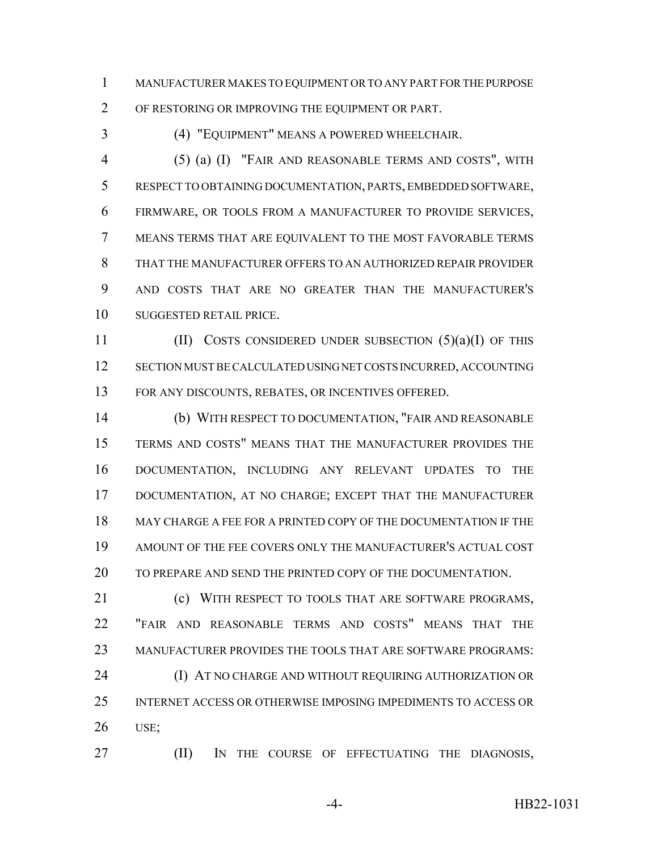MANUFACTURER MAKES TO EQUIPMENT OR TO ANY PART FOR THE PURPOSE

OF RESTORING OR IMPROVING THE EQUIPMENT OR PART.

(4) "EQUIPMENT" MEANS A POWERED WHEELCHAIR.

 (5) (a) (I) "FAIR AND REASONABLE TERMS AND COSTS", WITH RESPECT TO OBTAINING DOCUMENTATION, PARTS, EMBEDDED SOFTWARE, FIRMWARE, OR TOOLS FROM A MANUFACTURER TO PROVIDE SERVICES, MEANS TERMS THAT ARE EQUIVALENT TO THE MOST FAVORABLE TERMS THAT THE MANUFACTURER OFFERS TO AN AUTHORIZED REPAIR PROVIDER AND COSTS THAT ARE NO GREATER THAN THE MANUFACTURER'S SUGGESTED RETAIL PRICE.

11 (II) COSTS CONSIDERED UNDER SUBSECTION  $(5)(a)(I)$  OF THIS SECTION MUST BE CALCULATED USING NET COSTS INCURRED, ACCOUNTING FOR ANY DISCOUNTS, REBATES, OR INCENTIVES OFFERED.

 (b) WITH RESPECT TO DOCUMENTATION, "FAIR AND REASONABLE TERMS AND COSTS" MEANS THAT THE MANUFACTURER PROVIDES THE DOCUMENTATION, INCLUDING ANY RELEVANT UPDATES TO THE DOCUMENTATION, AT NO CHARGE; EXCEPT THAT THE MANUFACTURER MAY CHARGE A FEE FOR A PRINTED COPY OF THE DOCUMENTATION IF THE AMOUNT OF THE FEE COVERS ONLY THE MANUFACTURER'S ACTUAL COST TO PREPARE AND SEND THE PRINTED COPY OF THE DOCUMENTATION.

21 (c) WITH RESPECT TO TOOLS THAT ARE SOFTWARE PROGRAMS. "FAIR AND REASONABLE TERMS AND COSTS" MEANS THAT THE MANUFACTURER PROVIDES THE TOOLS THAT ARE SOFTWARE PROGRAMS: **(I) AT NO CHARGE AND WITHOUT REQUIRING AUTHORIZATION OR** INTERNET ACCESS OR OTHERWISE IMPOSING IMPEDIMENTS TO ACCESS OR

USE;

**(II)** IN THE COURSE OF EFFECTUATING THE DIAGNOSIS,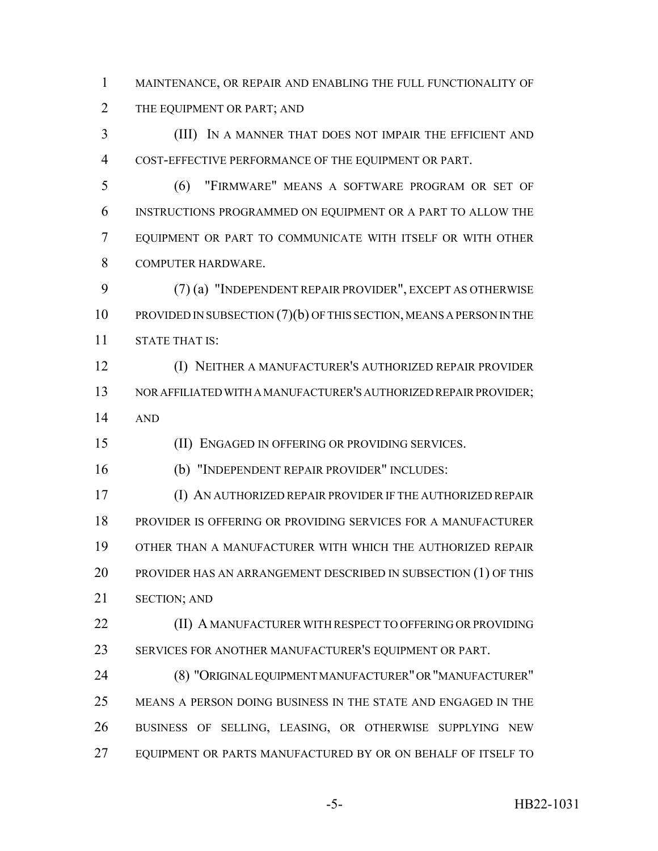MAINTENANCE, OR REPAIR AND ENABLING THE FULL FUNCTIONALITY OF THE EQUIPMENT OR PART; AND

 (III) IN A MANNER THAT DOES NOT IMPAIR THE EFFICIENT AND COST-EFFECTIVE PERFORMANCE OF THE EQUIPMENT OR PART.

 (6) "FIRMWARE" MEANS A SOFTWARE PROGRAM OR SET OF INSTRUCTIONS PROGRAMMED ON EQUIPMENT OR A PART TO ALLOW THE EQUIPMENT OR PART TO COMMUNICATE WITH ITSELF OR WITH OTHER COMPUTER HARDWARE.

 (7) (a) "INDEPENDENT REPAIR PROVIDER", EXCEPT AS OTHERWISE 10 PROVIDED IN SUBSECTION (7)(b) OF THIS SECTION, MEANS A PERSON IN THE STATE THAT IS:

 (I) NEITHER A MANUFACTURER'S AUTHORIZED REPAIR PROVIDER NOR AFFILIATED WITH A MANUFACTURER'S AUTHORIZED REPAIR PROVIDER; AND

(II) ENGAGED IN OFFERING OR PROVIDING SERVICES.

(b) "INDEPENDENT REPAIR PROVIDER" INCLUDES:

 (I) AN AUTHORIZED REPAIR PROVIDER IF THE AUTHORIZED REPAIR PROVIDER IS OFFERING OR PROVIDING SERVICES FOR A MANUFACTURER OTHER THAN A MANUFACTURER WITH WHICH THE AUTHORIZED REPAIR PROVIDER HAS AN ARRANGEMENT DESCRIBED IN SUBSECTION (1) OF THIS SECTION; AND

**(II) A MANUFACTURER WITH RESPECT TO OFFERING OR PROVIDING** SERVICES FOR ANOTHER MANUFACTURER'S EQUIPMENT OR PART.

 (8) "ORIGINAL EQUIPMENT MANUFACTURER" OR "MANUFACTURER" MEANS A PERSON DOING BUSINESS IN THE STATE AND ENGAGED IN THE BUSINESS OF SELLING, LEASING, OR OTHERWISE SUPPLYING NEW EQUIPMENT OR PARTS MANUFACTURED BY OR ON BEHALF OF ITSELF TO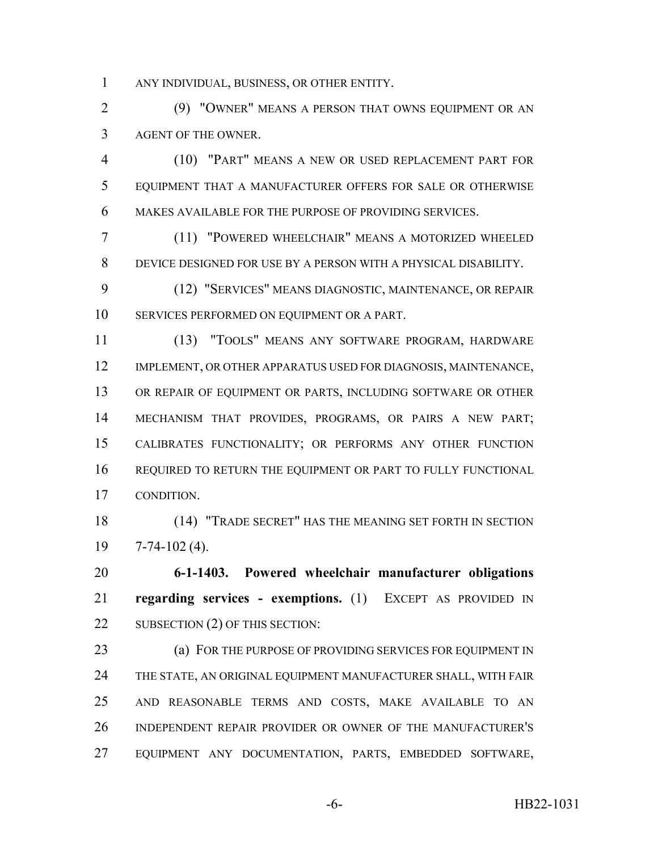ANY INDIVIDUAL, BUSINESS, OR OTHER ENTITY.

 (9) "OWNER" MEANS A PERSON THAT OWNS EQUIPMENT OR AN AGENT OF THE OWNER.

 (10) "PART" MEANS A NEW OR USED REPLACEMENT PART FOR EQUIPMENT THAT A MANUFACTURER OFFERS FOR SALE OR OTHERWISE MAKES AVAILABLE FOR THE PURPOSE OF PROVIDING SERVICES.

 (11) "POWERED WHEELCHAIR" MEANS A MOTORIZED WHEELED DEVICE DESIGNED FOR USE BY A PERSON WITH A PHYSICAL DISABILITY.

 (12) "SERVICES" MEANS DIAGNOSTIC, MAINTENANCE, OR REPAIR SERVICES PERFORMED ON EQUIPMENT OR A PART.

 (13) "TOOLS" MEANS ANY SOFTWARE PROGRAM, HARDWARE IMPLEMENT, OR OTHER APPARATUS USED FOR DIAGNOSIS, MAINTENANCE, OR REPAIR OF EQUIPMENT OR PARTS, INCLUDING SOFTWARE OR OTHER MECHANISM THAT PROVIDES, PROGRAMS, OR PAIRS A NEW PART; CALIBRATES FUNCTIONALITY; OR PERFORMS ANY OTHER FUNCTION REQUIRED TO RETURN THE EQUIPMENT OR PART TO FULLY FUNCTIONAL CONDITION.

 (14) "TRADE SECRET" HAS THE MEANING SET FORTH IN SECTION 7-74-102 (4).

 **6-1-1403. Powered wheelchair manufacturer obligations regarding services - exemptions.** (1) EXCEPT AS PROVIDED IN 22 SUBSECTION (2) OF THIS SECTION:

**(a) FOR THE PURPOSE OF PROVIDING SERVICES FOR EQUIPMENT IN**  THE STATE, AN ORIGINAL EQUIPMENT MANUFACTURER SHALL, WITH FAIR AND REASONABLE TERMS AND COSTS, MAKE AVAILABLE TO AN INDEPENDENT REPAIR PROVIDER OR OWNER OF THE MANUFACTURER'S EQUIPMENT ANY DOCUMENTATION, PARTS, EMBEDDED SOFTWARE,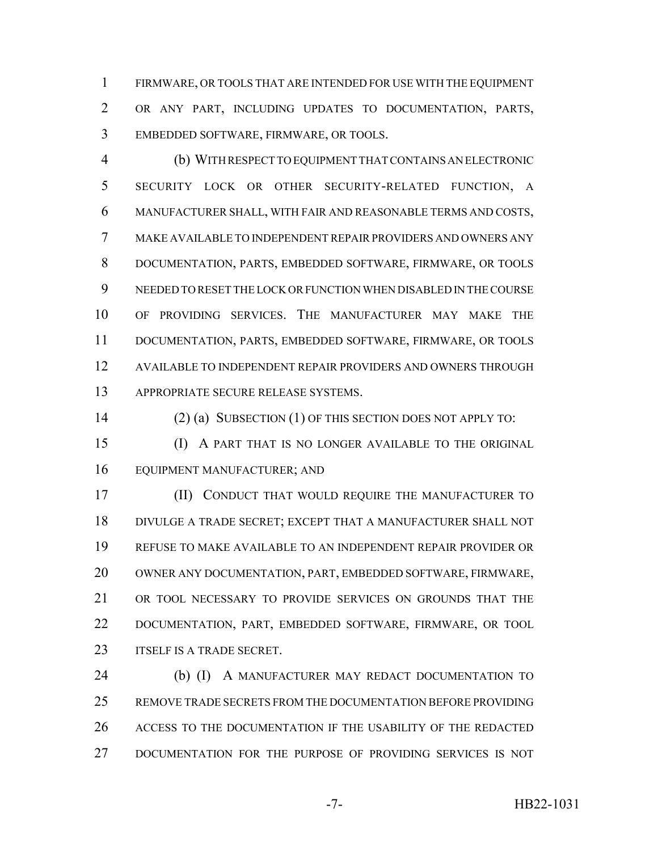FIRMWARE, OR TOOLS THAT ARE INTENDED FOR USE WITH THE EQUIPMENT OR ANY PART, INCLUDING UPDATES TO DOCUMENTATION, PARTS, EMBEDDED SOFTWARE, FIRMWARE, OR TOOLS.

 (b) WITH RESPECT TO EQUIPMENT THAT CONTAINS AN ELECTRONIC SECURITY LOCK OR OTHER SECURITY-RELATED FUNCTION, A MANUFACTURER SHALL, WITH FAIR AND REASONABLE TERMS AND COSTS, MAKE AVAILABLE TO INDEPENDENT REPAIR PROVIDERS AND OWNERS ANY DOCUMENTATION, PARTS, EMBEDDED SOFTWARE, FIRMWARE, OR TOOLS NEEDED TO RESET THE LOCK OR FUNCTION WHEN DISABLED IN THE COURSE OF PROVIDING SERVICES. THE MANUFACTURER MAY MAKE THE DOCUMENTATION, PARTS, EMBEDDED SOFTWARE, FIRMWARE, OR TOOLS AVAILABLE TO INDEPENDENT REPAIR PROVIDERS AND OWNERS THROUGH APPROPRIATE SECURE RELEASE SYSTEMS.

(2) (a) SUBSECTION (1) OF THIS SECTION DOES NOT APPLY TO:

 (I) A PART THAT IS NO LONGER AVAILABLE TO THE ORIGINAL EQUIPMENT MANUFACTURER; AND

 (II) CONDUCT THAT WOULD REQUIRE THE MANUFACTURER TO DIVULGE A TRADE SECRET; EXCEPT THAT A MANUFACTURER SHALL NOT REFUSE TO MAKE AVAILABLE TO AN INDEPENDENT REPAIR PROVIDER OR OWNER ANY DOCUMENTATION, PART, EMBEDDED SOFTWARE, FIRMWARE, OR TOOL NECESSARY TO PROVIDE SERVICES ON GROUNDS THAT THE DOCUMENTATION, PART, EMBEDDED SOFTWARE, FIRMWARE, OR TOOL **ITSELF IS A TRADE SECRET.** 

 (b) (I) A MANUFACTURER MAY REDACT DOCUMENTATION TO REMOVE TRADE SECRETS FROM THE DOCUMENTATION BEFORE PROVIDING ACCESS TO THE DOCUMENTATION IF THE USABILITY OF THE REDACTED DOCUMENTATION FOR THE PURPOSE OF PROVIDING SERVICES IS NOT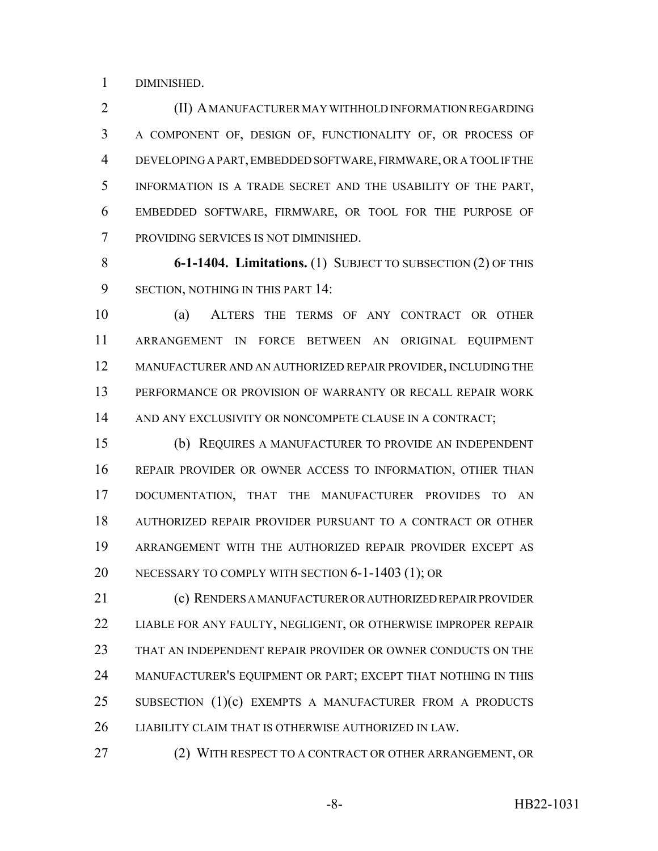DIMINISHED.

**(II) A MANUFACTURER MAY WITHHOLD INFORMATION REGARDING**  A COMPONENT OF, DESIGN OF, FUNCTIONALITY OF, OR PROCESS OF DEVELOPING A PART, EMBEDDED SOFTWARE, FIRMWARE, OR A TOOL IF THE INFORMATION IS A TRADE SECRET AND THE USABILITY OF THE PART, EMBEDDED SOFTWARE, FIRMWARE, OR TOOL FOR THE PURPOSE OF PROVIDING SERVICES IS NOT DIMINISHED.

 **6-1-1404. Limitations.** (1) SUBJECT TO SUBSECTION (2) OF THIS SECTION, NOTHING IN THIS PART 14:

 (a) ALTERS THE TERMS OF ANY CONTRACT OR OTHER ARRANGEMENT IN FORCE BETWEEN AN ORIGINAL EQUIPMENT MANUFACTURER AND AN AUTHORIZED REPAIR PROVIDER, INCLUDING THE PERFORMANCE OR PROVISION OF WARRANTY OR RECALL REPAIR WORK AND ANY EXCLUSIVITY OR NONCOMPETE CLAUSE IN A CONTRACT;

 (b) REQUIRES A MANUFACTURER TO PROVIDE AN INDEPENDENT REPAIR PROVIDER OR OWNER ACCESS TO INFORMATION, OTHER THAN DOCUMENTATION, THAT THE MANUFACTURER PROVIDES TO AN AUTHORIZED REPAIR PROVIDER PURSUANT TO A CONTRACT OR OTHER ARRANGEMENT WITH THE AUTHORIZED REPAIR PROVIDER EXCEPT AS NECESSARY TO COMPLY WITH SECTION 6-1-1403 (1); OR

 (c) RENDERS A MANUFACTURER OR AUTHORIZED REPAIR PROVIDER LIABLE FOR ANY FAULTY, NEGLIGENT, OR OTHERWISE IMPROPER REPAIR THAT AN INDEPENDENT REPAIR PROVIDER OR OWNER CONDUCTS ON THE MANUFACTURER'S EQUIPMENT OR PART; EXCEPT THAT NOTHING IN THIS SUBSECTION (1)(c) EXEMPTS A MANUFACTURER FROM A PRODUCTS LIABILITY CLAIM THAT IS OTHERWISE AUTHORIZED IN LAW.

27 (2) WITH RESPECT TO A CONTRACT OR OTHER ARRANGEMENT, OR